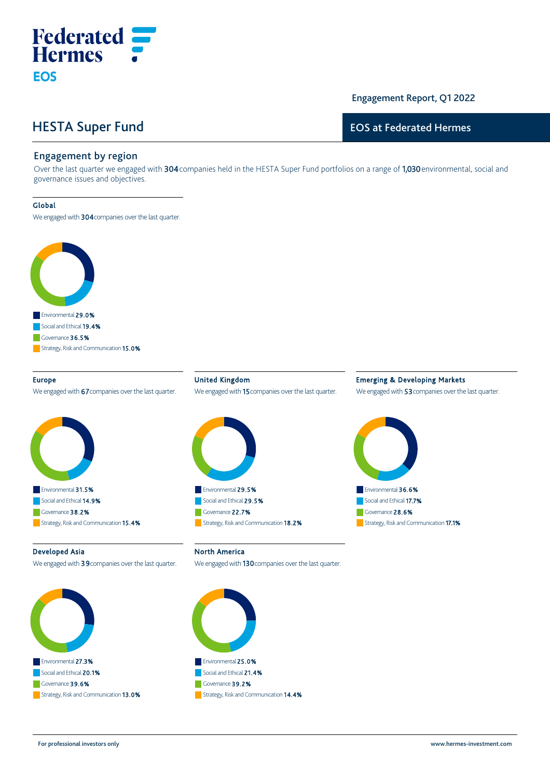# HESTA Super Fund

**Federated**<br>**Hermes** :

## Engagement Report, Q1 2022

## EOS at Federated Hermes

## Engagement by region

Over the last quarter we engaged with 304 companies held in the HESTA Super Fund portfolios on a range of 1,030 environmental, social and governance issues and objectives.

#### Global

**EOS** 

We engaged with 304 companies over the last quarter.



#### Europe

We engaged with 67 companies over the last quarter.



United Kingdom We engaged with 15 companies over the last quarter.



## Emerging & Developing Markets

We engaged with 53 companies over the last quarter.



#### Developed Asia

We engaged with 39 companies over the last quarter.



North America

We engaged with 130 companies over the last quarter.